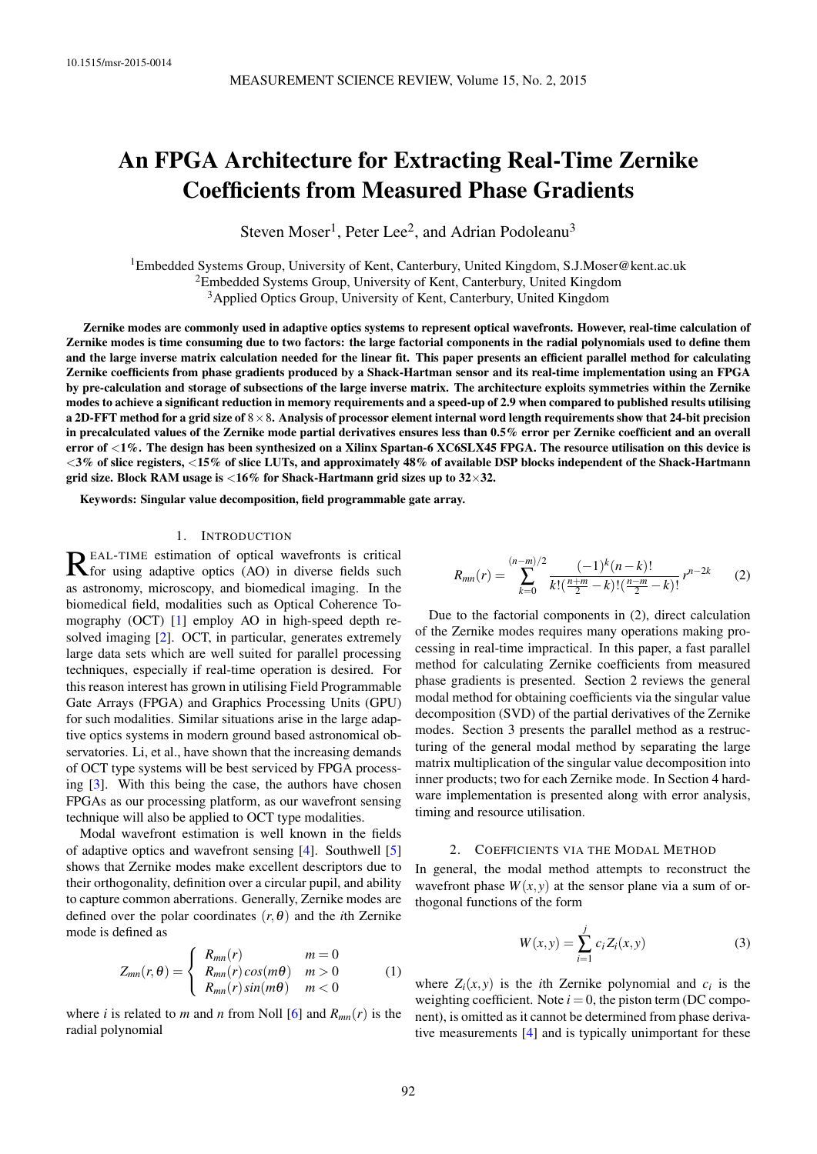# An FPGA Architecture for Extracting Real-Time Zernike Coefficients from Measured Phase Gradients

Steven Moser<sup>1</sup>, Peter Lee<sup>2</sup>, and Adrian Podoleanu<sup>3</sup>

<sup>1</sup>Embedded Systems Group, University of Kent, Canterbury, United Kingdom, [S.J.Moser@kent.ac.uk](mailto:S.J.Moser@kent.ac.uk) <sup>2</sup>Embedded Systems Group, University of Kent, Canterbury, United Kingdom <sup>3</sup> Applied Optics Group, University of Kent, Canterbury, United Kingdom

Zernike modes are commonly used in adaptive optics systems to represent optical wavefronts. However, real-time calculation of Zernike modes is time consuming due to two factors: the large factorial components in the radial polynomials used to define them and the large inverse matrix calculation needed for the linear fit. This paper presents an efficient parallel method for calculating Zernike coefficients from phase gradients produced by a Shack-Hartman sensor and its real-time implementation using an FPGA by pre-calculation and storage of subsections of the large inverse matrix. The architecture exploits symmetries within the Zernike modes to achieve a significant reduction in memory requirements and a speed-up of 2.9 when compared to published results utilising a 2D-FFT method for a grid size of  $8\times 8$ . Analysis of processor element internal word length requirements show that 24-bit precision in precalculated values of the Zernike mode partial derivatives ensures less than 0.5% error per Zernike coefficient and an overall error of <1%. The design has been synthesized on a Xilinx Spartan-6 XC6SLX45 FPGA. The resource utilisation on this device is <3% of slice registers, <15% of slice LUTs, and approximately 48% of available DSP blocks independent of the Shack-Hartmann grid size. Block RAM usage is  $<$  16% for Shack-Hartmann grid sizes up to 32 $\times$ 32.

Keywords: Singular value decomposition, field programmable gate array.

# 1. INTRODUCTION

REAL-TIME estimation of optical wavefronts is critical<br>Refor using adaptive optics (AO) in diverse fields such for using adaptive optics (AO) in diverse fields such as astronomy, microscopy, and biomedical imaging. In the biomedical field, modalities such as Optical Coherence Tomography (OCT) [\[1\]](#page-7-0) employ AO in high-speed depth resolved imaging [\[2\]](#page-7-1). OCT, in particular, generates extremely large data sets which are well suited for parallel processing techniques, especially if real-time operation is desired. For this reason interest has grown in utilising Field Programmable Gate Arrays (FPGA) and Graphics Processing Units (GPU) for such modalities. Similar situations arise in the large adaptive optics systems in modern ground based astronomical observatories. Li, et al., have shown that the increasing demands of OCT type systems will be best serviced by FPGA processing [\[3\]](#page-7-2). With this being the case, the authors have chosen FPGAs as our processing platform, as our wavefront sensing technique will also be applied to OCT type modalities.

Modal wavefront estimation is well known in the fields of adaptive optics and wavefront sensing [\[4\]](#page-7-3). Southwell [\[5\]](#page-7-4) shows that Zernike modes make excellent descriptors due to their orthogonality, definition over a circular pupil, and ability to capture common aberrations. Generally, Zernike modes are defined over the polar coordinates  $(r, \theta)$  and the *i*th Zernike mode is defined as

$$
Z_{mn}(r,\theta) = \begin{cases} R_{mn}(r) & m=0\\ R_{mn}(r)cos(m\theta) & m>0\\ R_{mn}(r)sin(m\theta) & m<0 \end{cases}
$$
 (1)

where *i* is related to *m* and *n* from Noll [\[6\]](#page-7-5) and  $R_{mn}(r)$  is the radial polynomial

<span id="page-0-0"></span>
$$
R_{mn}(r) = \sum_{k=0}^{(n-m)/2} \frac{(-1)^k (n-k)!}{k! \left(\frac{n+m}{2} - k\right)! \left(\frac{n-m}{2} - k\right)!} r^{n-2k} \tag{2}
$$

Due to the factorial components in [\(2\)](#page-0-0), direct calculation of the Zernike modes requires many operations making processing in real-time impractical. In this paper, a fast parallel method for calculating Zernike coefficients from measured phase gradients is presented. Section [2](#page-0-1) reviews the general modal method for obtaining coefficients via the singular value decomposition (SVD) of the partial derivatives of the Zernike modes. Section [3](#page-1-0) presents the parallel method as a restructuring of the general modal method by separating the large matrix multiplication of the singular value decomposition into inner products; two for each Zernike mode. In Section [4](#page-2-0) hardware implementation is presented along with error analysis, timing and resource utilisation.

#### 2. COEFFICIENTS VIA THE MODAL METHOD

<span id="page-0-1"></span>In general, the modal method attempts to reconstruct the wavefront phase  $W(x, y)$  at the sensor plane via a sum of orthogonal functions of the form

<span id="page-0-2"></span>
$$
W(x, y) = \sum_{i=1}^{j} c_i Z_i(x, y)
$$
 (3)

where  $Z_i(x, y)$  is the *i*th Zernike polynomial and  $c_i$  is the weighting coefficient. Note  $i = 0$ , the piston term (DC component), is omitted as it cannot be determined from phase derivative measurements [\[4\]](#page-7-3) and is typically unimportant for these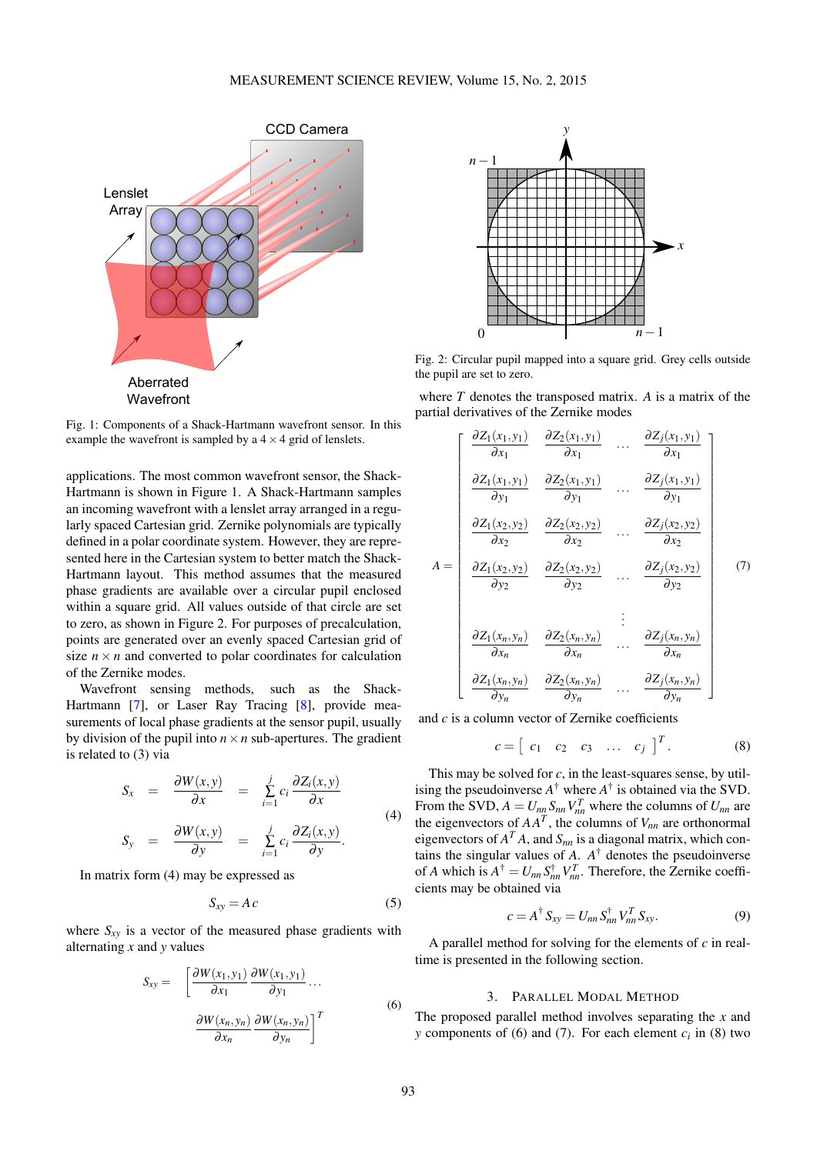<span id="page-1-1"></span>

Fig. 1: Components of a Shack-Hartmann wavefront sensor. In this example the wavefront is sampled by a  $4 \times 4$  grid of lenslets.

applications. The most common wavefront sensor, the Shack-Hartmann is shown in Figure [1.](#page-1-1) A Shack-Hartmann samples an incoming wavefront with a lenslet array arranged in a regularly spaced Cartesian grid. Zernike polynomials are typically defined in a polar coordinate system. However, they are represented here in the Cartesian system to better match the Shack-Hartmann layout. This method assumes that the measured phase gradients are available over a circular pupil enclosed within a square grid. All values outside of that circle are set to zero, as shown in Figure [2.](#page-1-2) For purposes of precalculation, points are generated over an evenly spaced Cartesian grid of size  $n \times n$  and converted to polar coordinates for calculation of the Zernike modes.

Wavefront sensing methods, such as the Shack-Hartmann [\[7\]](#page-7-6), or Laser Ray Tracing [\[8\]](#page-7-7), provide measurements of local phase gradients at the sensor pupil, usually by division of the pupil into  $n \times n$  sub-apertures. The gradient is related to [\(3\)](#page-0-2) via

<span id="page-1-3"></span>
$$
S_x = \frac{\partial W(x, y)}{\partial x} = \sum_{i=1}^{j} c_i \frac{\partial Z_i(x, y)}{\partial x}
$$
  
\n
$$
S_y = \frac{\partial W(x, y)}{\partial y} = \sum_{i=1}^{j} c_i \frac{\partial Z_i(x, y)}{\partial y}.
$$
 (4)

*i*=1

In matrix form [\(4\)](#page-1-3) may be expressed as

$$
S_{xy} = Ac \tag{5}
$$

<span id="page-1-4"></span>where  $S_{xy}$  is a vector of the measured phase gradients with alternating *x* and *y* values

$$
S_{xy} = \left[ \frac{\partial W(x_1, y_1)}{\partial x_1} \frac{\partial W(x_1, y_1)}{\partial y_1} \dots \frac{\partial W(x_n, y_n)}{\partial x_n} \frac{\partial W(x_n, y_n)}{\partial y_n} \right]^T
$$
\n(6)

<span id="page-1-2"></span>

Fig. 2: Circular pupil mapped into a square grid. Grey cells outside the pupil are set to zero.

where *T* denotes the transposed matrix. *A* is a matrix of the partial derivatives of the Zernike modes

<span id="page-1-5"></span>
$$
A = \begin{bmatrix} \frac{\partial Z_1(x_1, y_1)}{\partial x_1} & \frac{\partial Z_2(x_1, y_1)}{\partial x_1} & \cdots & \frac{\partial Z_j(x_1, y_1)}{\partial x_1} \\ \frac{\partial Z_1(x_1, y_1)}{\partial y_1} & \frac{\partial Z_2(x_1, y_1)}{\partial y_1} & \cdots & \frac{\partial Z_j(x_1, y_1)}{\partial y_1} \\ \frac{\partial Z_1(x_2, y_2)}{\partial x_2} & \frac{\partial Z_2(x_2, y_2)}{\partial x_2} & \cdots & \frac{\partial Z_j(x_2, y_2)}{\partial x_2} \\ \frac{\partial Z_1(x_2, y_2)}{\partial y_2} & \frac{\partial Z_2(x_2, y_2)}{\partial y_2} & \cdots & \frac{\partial Z_j(x_2, y_2)}{\partial y_2} \\ \frac{\partial Z_1(x_1, y_1)}{\partial x_n} & \frac{\partial Z_2(x_1, y_1)}{\partial x_n} & \cdots & \frac{\partial Z_j(x_n, y_n)}{\partial x_n} \\ \frac{\partial Z_1(x_n, y_n)}{\partial y_n} & \frac{\partial Z_2(x_n, y_n)}{\partial y_n} & \cdots & \frac{\partial Z_j(x_n, y_n)}{\partial y_n} \end{bmatrix} \quad (7)
$$

and *c* is a column vector of Zernike coefficients

*c* =

$$
c = \begin{bmatrix} c_1 & c_2 & c_3 & \dots & c_j \end{bmatrix}^T.
$$
 (8)

<span id="page-1-6"></span> $\overline{r}$ 

This may be solved for  $c$ , in the least-squares sense, by utilising the pseudoinverse  $A^{\dagger}$  where  $A^{\dagger}$  is obtained via the SVD. From the SVD,  $A = U_{nn} S_{nn} V_{nn}^T$  where the columns of  $U_{nn}$  are the eigenvectors of  $AA<sup>T</sup>$ , the columns of  $V<sub>nn</sub>$  are orthonormal eigenvectors of  $A<sup>T</sup> A$ , and  $S<sub>nn</sub>$  is a diagonal matrix, which contains the singular values of  $A$ .  $A^{\dagger}$  denotes the pseudoinverse of *A* which is  $A^{\dagger} = U_{nn} S_{nn}^{\dagger} V_{nn}^T$ . Therefore, the Zernike coefficients may be obtained via

<span id="page-1-7"></span>
$$
c = A^{\dagger} S_{xy} = U_{nn} S_{nn}^{\dagger} V_{nn}^T S_{xy}.
$$
 (9)

A parallel method for solving for the elements of *c* in realtime is presented in the following section.

# 3. PARALLEL MODAL METHOD

<span id="page-1-0"></span>The proposed parallel method involves separating the *x* and *y* components of [\(6\)](#page-1-4) and [\(7\)](#page-1-5). For each element  $c_i$  in [\(8\)](#page-1-6) two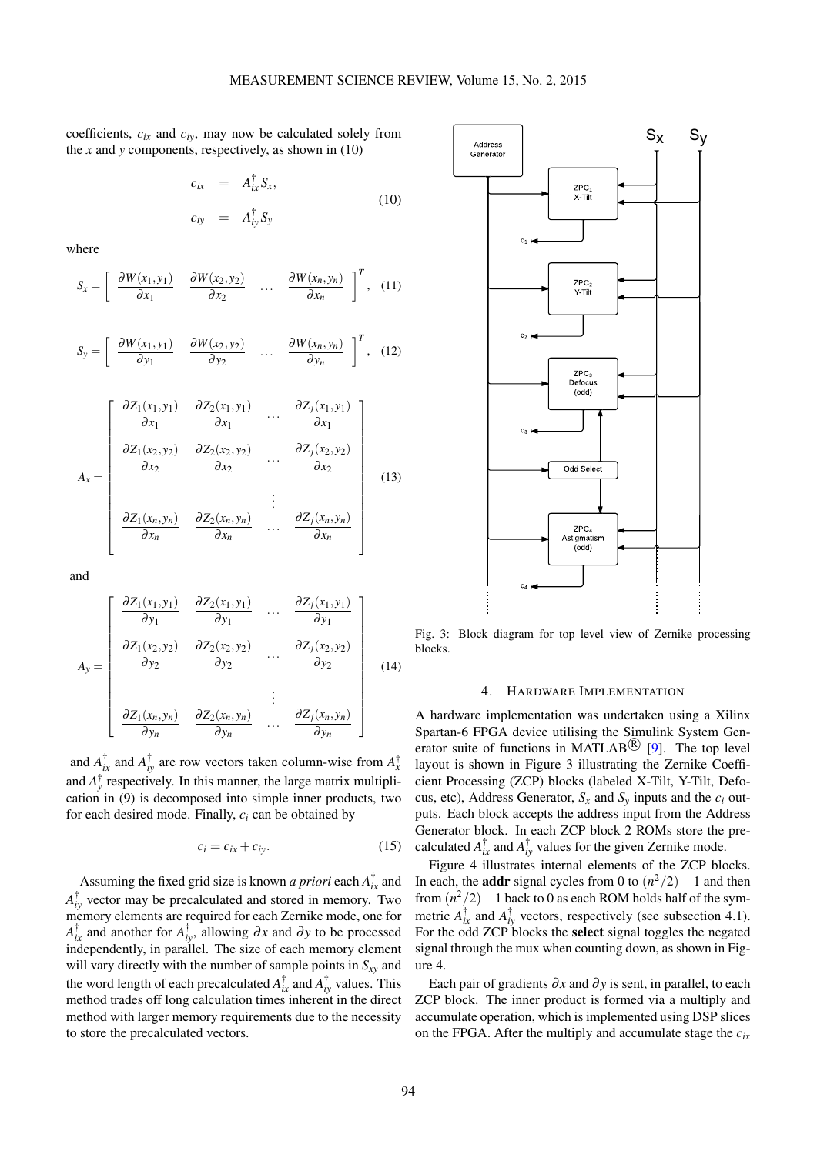coefficients,  $c_{ir}$  and  $c_{iv}$ , may now be calculated solely from the *x* and *y* components, respectively, as shown in [\(10\)](#page-2-1)

$$
c_{ix} = A_{ix}^{\dagger} S_x,
$$
  
\n
$$
c_{iy} = A_{iy}^{\dagger} S_y
$$
\n(10)

where

$$
S_x = \left[ \begin{array}{ccc} \frac{\partial W(x_1, y_1)}{\partial x_1} & \frac{\partial W(x_2, y_2)}{\partial x_2} & \dots & \frac{\partial W(x_n, y_n)}{\partial x_n} \end{array} \right]^T, \quad (11)
$$

$$
S_{y} = \left[ \begin{array}{cc} \frac{\partial W(x_1, y_1)}{\partial y_1} & \frac{\partial W(x_2, y_2)}{\partial y_2} & \dots & \frac{\partial W(x_n, y_n)}{\partial y_n} \end{array} \right]^T, (12)
$$

$$
A_{x} = \begin{bmatrix} \frac{\partial Z_{1}(x_{1}, y_{1})}{\partial x_{1}} & \frac{\partial Z_{2}(x_{1}, y_{1})}{\partial x_{1}} & \dots & \frac{\partial Z_{j}(x_{1}, y_{1})}{\partial x_{1}} \\ \frac{\partial Z_{1}(x_{2}, y_{2})}{\partial x_{2}} & \frac{\partial Z_{2}(x_{2}, y_{2})}{\partial x_{2}} & \dots & \frac{\partial Z_{j}(x_{2}, y_{2})}{\partial x_{2}} \\ \vdots & \vdots & \vdots & \vdots \\ \frac{\partial Z_{1}(x_{n}, y_{n})}{\partial x_{n}} & \frac{\partial Z_{2}(x_{n}, y_{n})}{\partial x_{n}} & \dots & \frac{\partial Z_{j}(x_{n}, y_{n})}{\partial x_{n}} \end{bmatrix}
$$
(13)

and

$$
A_{y} = \begin{bmatrix} \frac{\partial Z_{1}(x_{1}, y_{1})}{\partial y_{1}} & \frac{\partial Z_{2}(x_{1}, y_{1})}{\partial y_{1}} & \dots & \frac{\partial Z_{j}(x_{1}, y_{1})}{\partial y_{1}} \\ \frac{\partial Z_{1}(x_{2}, y_{2})}{\partial y_{2}} & \frac{\partial Z_{2}(x_{2}, y_{2})}{\partial y_{2}} & \dots & \frac{\partial Z_{j}(x_{2}, y_{2})}{\partial y_{2}} \\ \vdots & \vdots & \ddots & \vdots \\ \frac{\partial Z_{1}(x_{n}, y_{n})}{\partial y_{n}} & \frac{\partial Z_{2}(x_{n}, y_{n})}{\partial y_{n}} & \dots & \frac{\partial Z_{j}(x_{n}, y_{n})}{\partial y_{n}} \end{bmatrix}
$$
(14)

and  $A_{ix}^{\dagger}$  and  $A_{iy}^{\dagger}$  are row vectors taken column-wise from  $A_{x}^{\dagger}$ and  $A_{y}^{\dagger}$  respectively. In this manner, the large matrix multiplication in [\(9\)](#page-1-7) is decomposed into simple inner products, two for each desired mode. Finally, *c<sup>i</sup>* can be obtained by

$$
c_i = c_{ix} + c_{iy}.\tag{15}
$$

Assuming the fixed grid size is known *a priori* each  $A_{ix}^{\dagger}$  and  $A_{iy}^{\dagger}$  vector may be precalculated and stored in memory. Two memory elements are required for each Zernike mode, one for  $A_{ix}^{\dagger}$  and another for  $A_{iy}^{\dagger}$ , allowing  $\partial x$  and  $\partial y$  to be processed independently, in parallel. The size of each memory element will vary directly with the number of sample points in *Sxy* and the word length of each precalculated  $A_{ix}^{\dagger}$  and  $A_{iy}^{\dagger}$  values. This method trades off long calculation times inherent in the direct method with larger memory requirements due to the necessity to store the precalculated vectors.

<span id="page-2-2"></span><span id="page-2-1"></span>

Fig. 3: Block diagram for top level view of Zernike processing blocks.

#### 4. HARDWARE IMPLEMENTATION

<span id="page-2-0"></span>A hardware implementation was undertaken using a Xilinx Spartan-6 FPGA device utilising the Simulink System Generator suite of functions in MATLAB<sup>( $\bigcirc$ </sup> [\[9\]](#page-7-8). The top level layout is shown in Figure [3](#page-2-2) illustrating the Zernike Coefficient Processing (ZCP) blocks (labeled X-Tilt, Y-Tilt, Defocus, etc), Address Generator,  $S_x$  and  $S_y$  inputs and the  $c_i$  outputs. Each block accepts the address input from the Address Generator block. In each ZCP block 2 ROMs store the precalculated  $A_{ix}^{\dagger}$  and  $A_{iy}^{\dagger}$  values for the given Zernike mode.

Figure [4](#page-3-0) illustrates internal elements of the ZCP blocks. In each, the **addr** signal cycles from 0 to  $(n^2/2) - 1$  and then from  $(n^2/2)$  – 1 back to 0 as each ROM holds half of the symmetric  $A_{ix}^{\dagger}$  and  $A_{iy}^{\dagger}$  vectors, respectively (see subsection [4.1\)](#page-3-1). For the odd ZCP blocks the select signal toggles the negated signal through the mux when counting down, as shown in Figure [4.](#page-3-0)

Each pair of gradients  $\partial x$  and  $\partial y$  is sent, in parallel, to each ZCP block. The inner product is formed via a multiply and accumulate operation, which is implemented using DSP slices on the FPGA. After the multiply and accumulate stage the *cix*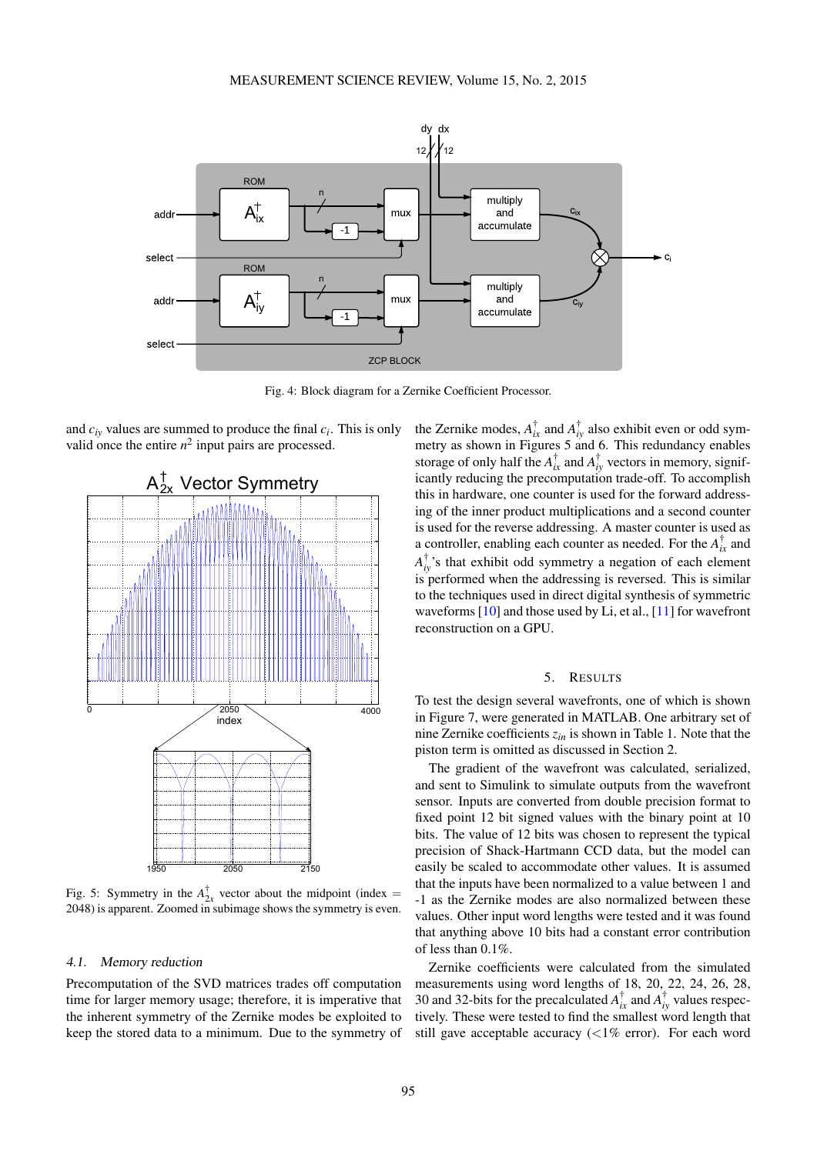<span id="page-3-0"></span>

Fig. 4: Block diagram for a Zernike Coefficient Processor.

and *ciy* values are summed to produce the final *c<sup>i</sup>* . This is only valid once the entire  $n^2$  input pairs are processed.

<span id="page-3-2"></span>

Fig. 5: Symmetry in the  $A^{\dagger}_{2x}$  vector about the midpoint (index = 2048) is apparent. Zoomed in subimage shows the symmetry is even.

#### <span id="page-3-1"></span>4.1. Memory reduction

Precomputation of the SVD matrices trades off computation time for larger memory usage; therefore, it is imperative that the inherent symmetry of the Zernike modes be exploited to keep the stored data to a minimum. Due to the symmetry of

the Zernike modes,  $A_{ix}^{\dagger}$  and  $A_{iy}^{\dagger}$  also exhibit even or odd symmetry as shown in Figures [5](#page-3-2) and [6.](#page-4-0) This redundancy enables storage of only half the  $A_{ix}^{\dagger}$  and  $A_{iy}^{\dagger}$  vectors in memory, significantly reducing the precomputation trade-off. To accomplish this in hardware, one counter is used for the forward addressing of the inner product multiplications and a second counter is used for the reverse addressing. A master counter is used as a controller, enabling each counter as needed. For the  $A_{ix}^{\dagger}$  and  $A_{iy}^{\dagger}$ 's that exhibit odd symmetry a negation of each element is performed when the addressing is reversed. This is similar to the techniques used in direct digital synthesis of symmetric waveforms [\[10\]](#page-7-9) and those used by Li, et al., [\[11\]](#page-7-10) for wavefront reconstruction on a GPU.

#### 5. RESULTS

To test the design several wavefronts, one of which is shown in Figure [7,](#page-4-1) were generated in MATLAB. One arbitrary set of nine Zernike coefficients *zin* is shown in Table [1.](#page-5-0) Note that the piston term is omitted as discussed in Section [2.](#page-0-1)

The gradient of the wavefront was calculated, serialized, and sent to Simulink to simulate outputs from the wavefront sensor. Inputs are converted from double precision format to fixed point 12 bit signed values with the binary point at 10 bits. The value of 12 bits was chosen to represent the typical precision of Shack-Hartmann CCD data, but the model can easily be scaled to accommodate other values. It is assumed that the inputs have been normalized to a value between 1 and -1 as the Zernike modes are also normalized between these values. Other input word lengths were tested and it was found that anything above 10 bits had a constant error contribution of less than 0.1%.

Zernike coefficients were calculated from the simulated measurements using word lengths of 18, 20, 22, 24, 26, 28, 30 and 32-bits for the precalculated  $A_{ix}^{\dagger}$  and  $A_{iy}^{\dagger}$  values respectively. These were tested to find the smallest word length that still gave acceptable accuracy  $\left( \langle 1\% \text{ error} \rangle \right)$ . For each word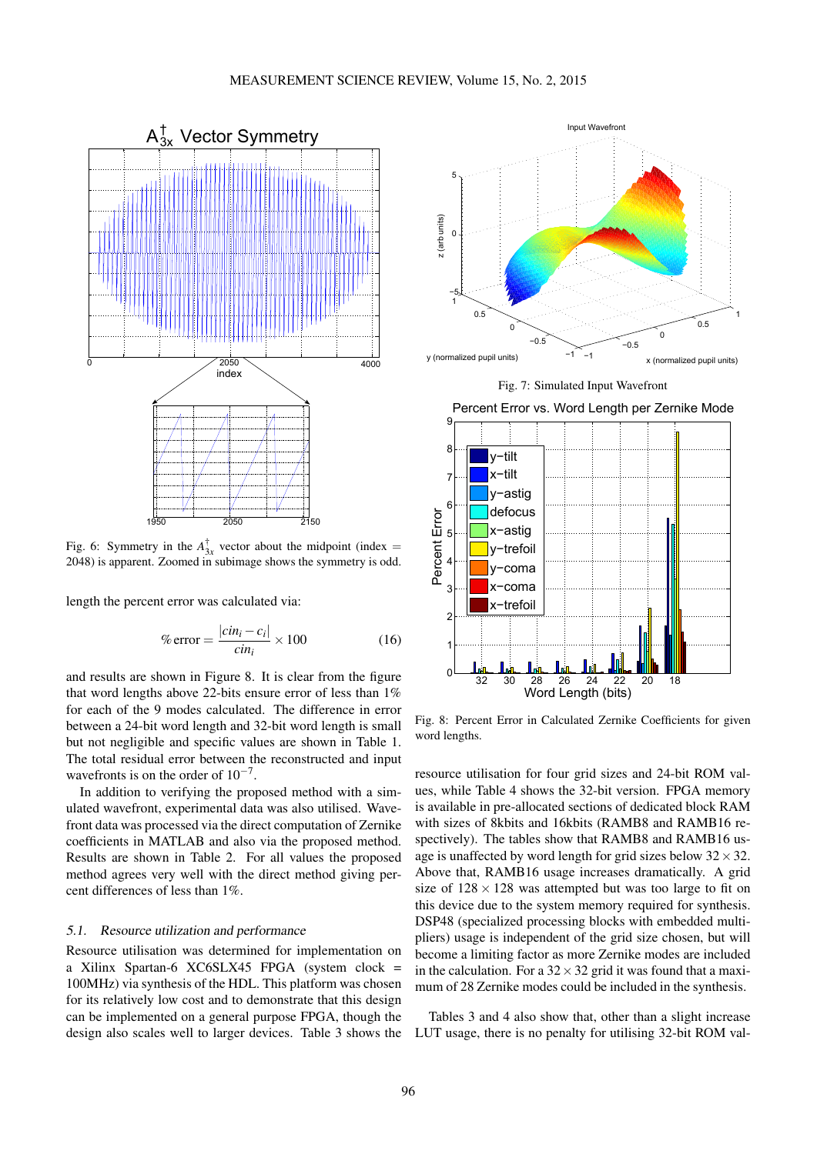<span id="page-4-0"></span>

Fig. 6: Symmetry in the  $A_{3x}^{\dagger}$  vector about the midpoint (index = 2048) is apparent. Zoomed in subimage shows the symmetry is odd.

length the percent error was calculated via:

$$
\% \text{ error} = \frac{|c\dot{n}_i - c_i|}{\dot{c}\dot{n}_i} \times 100 \tag{16}
$$

and results are shown in Figure [8.](#page-4-2) It is clear from the figure that word lengths above 22-bits ensure error of less than 1% for each of the 9 modes calculated. The difference in error between a 24-bit word length and 32-bit word length is small but not negligible and specific values are shown in Table [1.](#page-5-0) The total residual error between the reconstructed and input wavefronts is on the order of  $10^{-7}$ .

In addition to verifying the proposed method with a simulated wavefront, experimental data was also utilised. Wavefront data was processed via the direct computation of Zernike coefficients in MATLAB and also via the proposed method. Results are shown in Table [2.](#page-5-1) For all values the proposed method agrees very well with the direct method giving percent differences of less than 1%.

## 5.1. Resource utilization and performance

Resource utilisation was determined for implementation on a Xilinx Spartan-6 XC6SLX45 FPGA (system clock = 100MHz) via synthesis of the HDL. This platform was chosen for its relatively low cost and to demonstrate that this design can be implemented on a general purpose FPGA, though the design also scales well to larger devices. Table [3](#page-5-2) shows the

<span id="page-4-1"></span>



Percent Error vs. Word Length per Zernike Mode

<span id="page-4-2"></span>

Fig. 8: Percent Error in Calculated Zernike Coefficients for given word lengths.

resource utilisation for four grid sizes and 24-bit ROM values, while Table [4](#page-6-0) shows the 32-bit version. FPGA memory is available in pre-allocated sections of dedicated block RAM with sizes of 8kbits and 16kbits (RAMB8 and RAMB16 respectively). The tables show that RAMB8 and RAMB16 usage is unaffected by word length for grid sizes below  $32 \times 32$ . Above that, RAMB16 usage increases dramatically. A grid size of  $128 \times 128$  was attempted but was too large to fit on this device due to the system memory required for synthesis. DSP48 (specialized processing blocks with embedded multipliers) usage is independent of the grid size chosen, but will become a limiting factor as more Zernike modes are included in the calculation. For a  $32 \times 32$  grid it was found that a maximum of 28 Zernike modes could be included in the synthesis.

Tables [3](#page-5-2) and [4](#page-6-0) also show that, other than a slight increase LUT usage, there is no penalty for utilising 32-bit ROM val-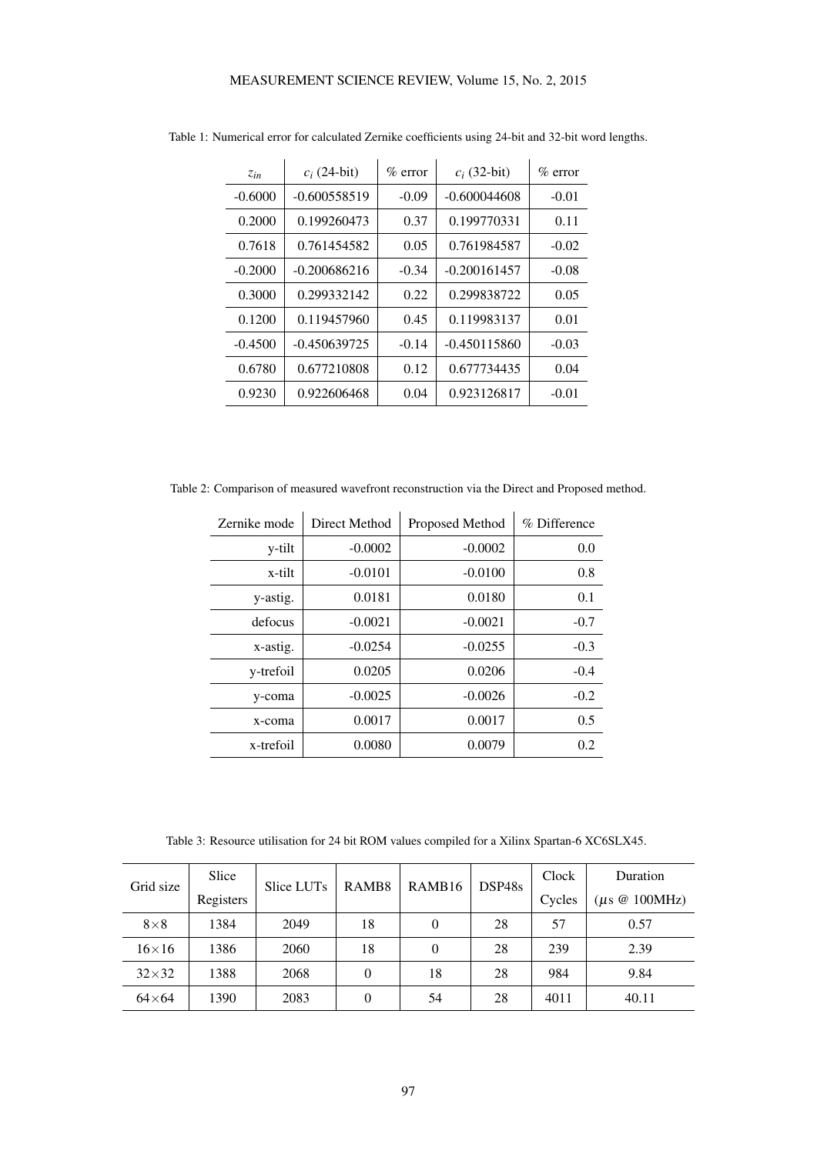| Zin       | $c_i$ (24-bit) | $\%$ error | $c_i$ (32-bit) | $\%$ error |
|-----------|----------------|------------|----------------|------------|
| $-0.6000$ | $-0.600558519$ | $-0.09$    | $-0.600044608$ | $-0.01$    |
| 0.2000    | 0.199260473    | 0.37       | 0.199770331    | 0.11       |
| 0.7618    | 0.761454582    | 0.05       | 0.761984587    | $-0.02$    |
| $-0.2000$ | $-0.200686216$ | $-0.34$    | $-0.200161457$ | $-0.08$    |
| 0.3000    | 0.299332142    | 0.22       | 0.299838722    | 0.05       |
| 0.1200    | 0.119457960    | 0.45       | 0.119983137    | 0.01       |
| $-0.4500$ | $-0.450639725$ | $-0.14$    | $-0.450115860$ | $-0.03$    |
| 0.6780    | 0.677210808    | 0.12       | 0.677734435    | 0.04       |
| 0.9230    | 0.922606468    | 0.04       | 0.923126817    | $-0.01$    |

<span id="page-5-0"></span>Table 1: Numerical error for calculated Zernike coefficients using 24-bit and 32-bit word lengths.

<span id="page-5-1"></span>Table 2: Comparison of measured wavefront reconstruction via the Direct and Proposed method.

| Zernike mode | Direct Method | Proposed Method | % Difference |
|--------------|---------------|-----------------|--------------|
| y-tilt       | $-0.0002$     | $-0.0002$       | 0.0          |
| x-tilt       | $-0.0101$     | $-0.0100$       | 0.8          |
| y-astig.     | 0.0181        | 0.0180          | 0.1          |
| defocus      | $-0.0021$     | $-0.0021$       | $-0.7$       |
| x-astig.     | $-0.0254$     | $-0.0255$       | $-0.3$       |
| y-trefoil    | 0.0205        | 0.0206          | $-0.4$       |
| y-coma       | $-0.0025$     | $-0.0026$       | $-0.2$       |
| x-coma       | 0.0017        | 0.0017          | 0.5          |
| x-trefoil    | 0.0080        | 0.0079          | 0.2          |

Table 3: Resource utilisation for 24 bit ROM values compiled for a Xilinx Spartan-6 XC6SLX45.

<span id="page-5-2"></span>

| Grid size    | Slice     | Slice LUTs | RAMB <sub>8</sub> | RAMB <sub>16</sub> | DSP48s | Clock  | Duration                  |
|--------------|-----------|------------|-------------------|--------------------|--------|--------|---------------------------|
|              | Registers |            |                   |                    |        | Cycles | $(\mu s \otimes 100 MHz)$ |
| $8\times8$   | 1384      | 2049       | 18                | 0                  | 28     | 57     | 0.57                      |
| $16\times16$ | 1386      | 2060       | 18                | $\theta$           | 28     | 239    | 2.39                      |
| $32\times32$ | 1388      | 2068       | 0                 | 18                 | 28     | 984    | 9.84                      |
| $64\times64$ | 1390      | 2083       | $\Omega$          | 54                 | 28     | 4011   | 40.11                     |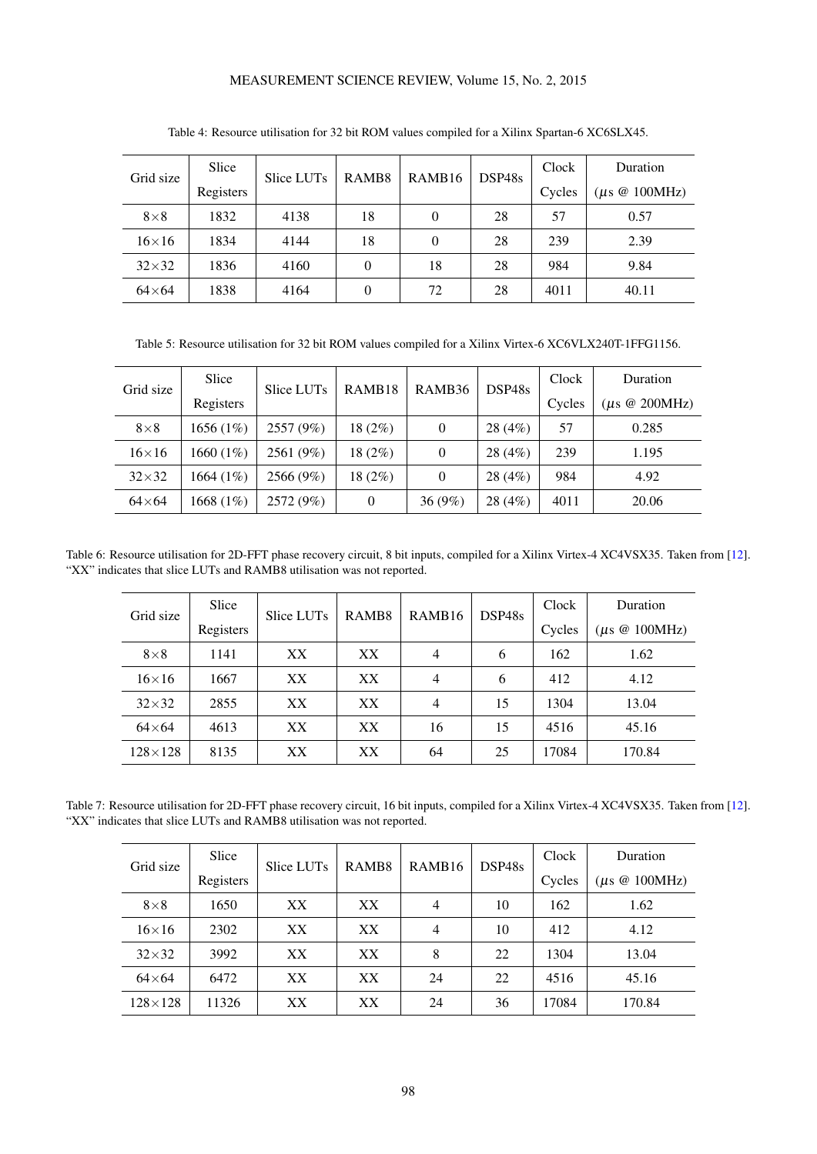# MEASUREMENT SCIENCE REVIEW, Volume 15, No. 2, 2015

<span id="page-6-0"></span>

| Grid size    | Slice     | Slice LUTs | RAMB <sub>8</sub> | RAMB <sub>16</sub> | DSP48s | Clock  | Duration                  |
|--------------|-----------|------------|-------------------|--------------------|--------|--------|---------------------------|
|              | Registers |            |                   |                    |        | Cycles | $(\mu s \otimes 100 MHz)$ |
| $8\times8$   | 1832      | 4138       | 18                | $\overline{0}$     | 28     | 57     | 0.57                      |
| $16\times16$ | 1834      | 4144       | 18                | 0                  | 28     | 239    | 2.39                      |
| $32\times32$ | 1836      | 4160       | 0                 | 18                 | 28     | 984    | 9.84                      |
| $64\times64$ | 1838      | 4164       | 0                 | 72                 | 28     | 4011   | 40.11                     |

Table 4: Resource utilisation for 32 bit ROM values compiled for a Xilinx Spartan-6 XC6SLX45.

Table 5: Resource utilisation for 32 bit ROM values compiled for a Xilinx Virtex-6 XC6VLX240T-1FFG1156.

<span id="page-6-1"></span>

| Grid size     | <b>Slice</b> | Slice LUTs | RAMB <sub>18</sub> | RAMB <sub>36</sub> | DSP48s  | Clock  | Duration          |
|---------------|--------------|------------|--------------------|--------------------|---------|--------|-------------------|
|               | Registers    |            |                    |                    |         | Cycles | $\mu$ s @ 200MHz) |
| $8\times8$    | 1656(1%)     | 2557 (9%)  | 18(2%)             | $\theta$           | 28 (4%) | 57     | 0.285             |
| $16\times16$  | 1660 $(1%)$  | 2561 (9%)  | 18(2%)             | $\overline{0}$     | 28(4%)  | 239    | 1.195             |
| $32\times32$  | 1664 $(1%)$  | 2566 (9%)  | 18(2%)             | $\theta$           | 28 (4%) | 984    | 4.92              |
| $64\times 64$ | 1668 $(1%)$  | 2572 (9%)  | $\theta$           | 36(9%)             | 28 (4%) | 4011   | 20.06             |

<span id="page-6-2"></span>Table 6: Resource utilisation for 2D-FFT phase recovery circuit, 8 bit inputs, compiled for a Xilinx Virtex-4 XC4VSX35. Taken from [\[12\]](#page-8-0). "XX" indicates that slice LUTs and RAMB8 utilisation was not reported.

| Grid size        | Slice     | Slice LUTs      | RAMB <sub>8</sub> | RAMB <sub>16</sub> | DSP48s | Clock  | Duration                  |
|------------------|-----------|-----------------|-------------------|--------------------|--------|--------|---------------------------|
|                  | Registers |                 |                   |                    |        | Cycles | $(\mu s \otimes 100 MHz)$ |
| $8\times8$       | 1141      | XX <sup>1</sup> | XX.               | $\overline{4}$     | 6      | 162    | 1.62                      |
| $16\times16$     | 1667      | XX              | XX.               | $\overline{4}$     | 6      | 412    | 4.12                      |
| $32\times32$     | 2855      | XX <sup>1</sup> | XX.               | $\overline{4}$     | 15     | 1304   | 13.04                     |
| $64\times64$     | 4613      | XX              | XX.               | 16                 | 15     | 4516   | 45.16                     |
| $128 \times 128$ | 8135      | XX              | XX                | 64                 | 25     | 17084  | 170.84                    |

<span id="page-6-3"></span>Table 7: Resource utilisation for 2D-FFT phase recovery circuit, 16 bit inputs, compiled for a Xilinx Virtex-4 XC4VSX35. Taken from [\[12\]](#page-8-0). "XX" indicates that slice LUTs and RAMB8 utilisation was not reported.

| Grid size      | Slice     | Slice LUTs      | RAMB <sub>8</sub> | RAMB <sub>16</sub> | DSP48s | Clock  | Duration          |
|----------------|-----------|-----------------|-------------------|--------------------|--------|--------|-------------------|
|                | Registers |                 |                   |                    |        | Cycles | $\mu$ s @ 100MHz) |
| $8\times8$     | 1650      | XX <sup>1</sup> | XX                | 4                  | 10     | 162    | 1.62              |
| $16\times16$   | 2302      | XX.             | XX                | 4                  | 10     | 412    | 4.12              |
| $32\times32$   | 3992      | XX.             | XX                | 8                  | 22     | 1304   | 13.04             |
| $64\times64$   | 6472      | XX.             | XX                | 24                 | 22     | 4516   | 45.16             |
| $128\times128$ | 11326     | XX              | XX                | 24                 | 36     | 17084  | 170.84            |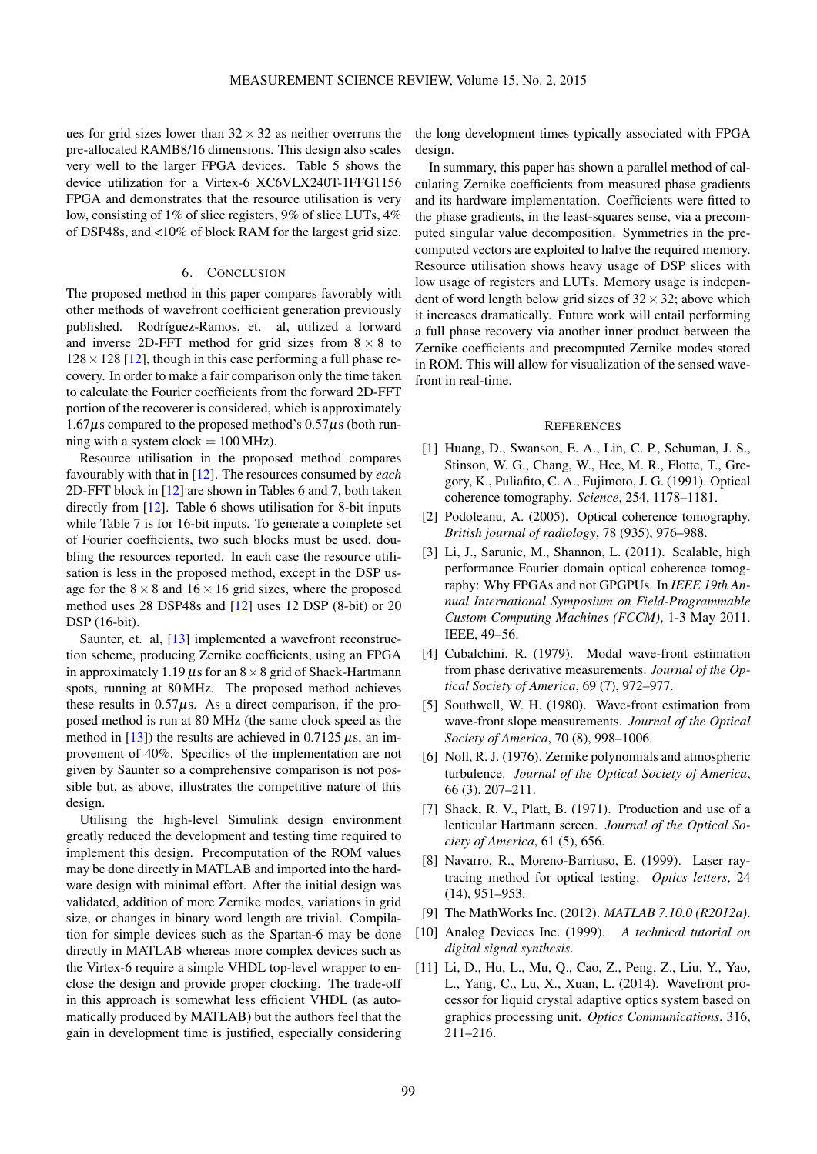ues for grid sizes lower than  $32 \times 32$  as neither overruns the pre-allocated RAMB8/16 dimensions. This design also scales very well to the larger FPGA devices. Table [5](#page-6-1) shows the device utilization for a Virtex-6 XC6VLX240T-1FFG1156 FPGA and demonstrates that the resource utilisation is very low, consisting of 1% of slice registers, 9% of slice LUTs, 4% of DSP48s, and <10% of block RAM for the largest grid size.

#### 6. CONCLUSION

The proposed method in this paper compares favorably with other methods of wavefront coefficient generation previously published. Rodríguez-Ramos, et. al, utilized a forward and inverse 2D-FFT method for grid sizes from  $8 \times 8$  to  $128 \times 128$  [\[12\]](#page-8-0), though in this case performing a full phase recovery. In order to make a fair comparison only the time taken to calculate the Fourier coefficients from the forward 2D-FFT portion of the recoverer is considered, which is approximately  $1.67\mu s$  compared to the proposed method's  $0.57\mu s$  (both running with a system clock  $= 100$  MHz).

Resource utilisation in the proposed method compares favourably with that in [\[12\]](#page-8-0). The resources consumed by *each* 2D-FFT block in [\[12\]](#page-8-0) are shown in Tables [6](#page-6-2) and [7,](#page-6-3) both taken directly from [\[12\]](#page-8-0). Table [6](#page-6-2) shows utilisation for 8-bit inputs while Table [7](#page-6-3) is for 16-bit inputs. To generate a complete set of Fourier coefficients, two such blocks must be used, doubling the resources reported. In each case the resource utilisation is less in the proposed method, except in the DSP usage for the  $8 \times 8$  and  $16 \times 16$  grid sizes, where the proposed method uses 28 DSP48s and [\[12\]](#page-8-0) uses 12 DSP (8-bit) or 20 DSP (16-bit).

Saunter, et. al, [\[13\]](#page-8-1) implemented a wavefront reconstruction scheme, producing Zernike coefficients, using an FPGA in approximately 1.19  $\mu$ s for an 8  $\times$  8 grid of Shack-Hartmann spots, running at 80MHz. The proposed method achieves these results in  $0.57\mu s$ . As a direct comparison, if the proposed method is run at 80 MHz (the same clock speed as the method in  $[13]$ ) the results are achieved in 0.7125  $\mu$ s, an improvement of 40%. Specifics of the implementation are not given by Saunter so a comprehensive comparison is not possible but, as above, illustrates the competitive nature of this design.

Utilising the high-level Simulink design environment greatly reduced the development and testing time required to implement this design. Precomputation of the ROM values may be done directly in MATLAB and imported into the hardware design with minimal effort. After the initial design was validated, addition of more Zernike modes, variations in grid size, or changes in binary word length are trivial. Compilation for simple devices such as the Spartan-6 may be done directly in MATLAB whereas more complex devices such as the Virtex-6 require a simple VHDL top-level wrapper to enclose the design and provide proper clocking. The trade-off in this approach is somewhat less efficient VHDL (as automatically produced by MATLAB) but the authors feel that the gain in development time is justified, especially considering the long development times typically associated with FPGA design

In summary, this paper has shown a parallel method of calculating Zernike coefficients from measured phase gradients and its hardware implementation. Coefficients were fitted to the phase gradients, in the least-squares sense, via a precomputed singular value decomposition. Symmetries in the precomputed vectors are exploited to halve the required memory. Resource utilisation shows heavy usage of DSP slices with low usage of registers and LUTs. Memory usage is independent of word length below grid sizes of  $32 \times 32$ ; above which it increases dramatically. Future work will entail performing a full phase recovery via another inner product between the Zernike coefficients and precomputed Zernike modes stored in ROM. This will allow for visualization of the sensed wavefront in real-time.

#### **REFERENCES**

- <span id="page-7-0"></span>[1] Huang, D., Swanson, E. A., Lin, C. P., Schuman, J. S., Stinson, W. G., Chang, W., Hee, M. R., Flotte, T., Gregory, K., Puliafito, C. A., Fujimoto, J. G. (1991). Optical coherence tomography. *Science*, 254, 1178–1181.
- <span id="page-7-1"></span>[2] Podoleanu, A. (2005). Optical coherence tomography. *British journal of radiology*, 78 (935), 976–988.
- <span id="page-7-2"></span>[3] Li, J., Sarunic, M., Shannon, L. (2011). Scalable, high performance Fourier domain optical coherence tomography: Why FPGAs and not GPGPUs. In *IEEE 19th Annual International Symposium on Field-Programmable Custom Computing Machines (FCCM)*, 1-3 May 2011. IEEE, 49–56.
- <span id="page-7-3"></span>[4] Cubalchini, R. (1979). Modal wave-front estimation from phase derivative measurements. *Journal of the Optical Society of America*, 69 (7), 972–977.
- <span id="page-7-4"></span>[5] Southwell, W. H. (1980). Wave-front estimation from wave-front slope measurements. *Journal of the Optical Society of America*, 70 (8), 998–1006.
- <span id="page-7-5"></span>[6] Noll, R. J. (1976). Zernike polynomials and atmospheric turbulence. *Journal of the Optical Society of America*, 66 (3), 207–211.
- <span id="page-7-6"></span>[7] Shack, R. V., Platt, B. (1971). Production and use of a lenticular Hartmann screen. *Journal of the Optical Society of America*, 61 (5), 656.
- <span id="page-7-7"></span>[8] Navarro, R., Moreno-Barriuso, E. (1999). Laser raytracing method for optical testing. *Optics letters*, 24 (14), 951–953.
- <span id="page-7-8"></span>[9] The MathWorks Inc. (2012). *MATLAB 7.10.0 (R2012a)*.
- <span id="page-7-9"></span>[10] Analog Devices Inc. (1999). *A technical tutorial on digital signal synthesis*.
- <span id="page-7-10"></span>[11] Li, D., Hu, L., Mu, Q., Cao, Z., Peng, Z., Liu, Y., Yao, L., Yang, C., Lu, X., Xuan, L. (2014). Wavefront processor for liquid crystal adaptive optics system based on graphics processing unit. *Optics Communications*, 316, 211–216.